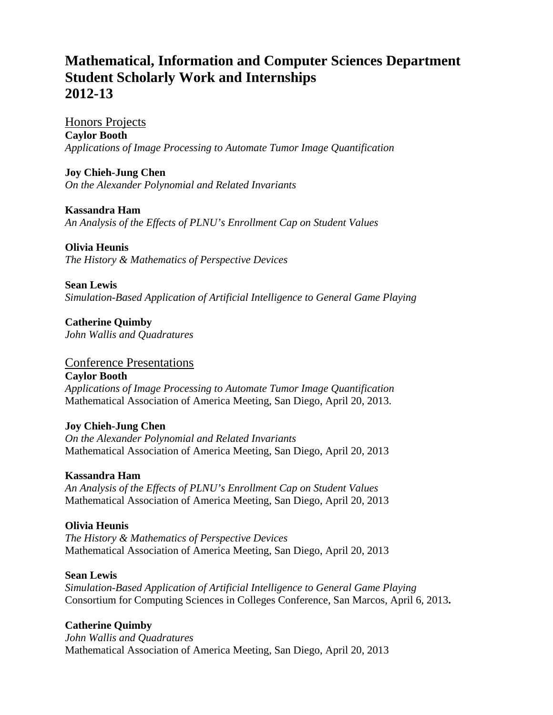# **Mathematical, Information and Computer Sciences Department Student Scholarly Work and Internships 2012-13**

Honors Projects **Caylor Booth**  *Applications of Image Processing to Automate Tumor Image Quantification* 

**Joy Chieh-Jung Chen** *On the Alexander Polynomial and Related Invariants* 

**Kassandra Ham**  *An Analysis of the Effects of PLNU's Enrollment Cap on Student Values* 

**Olivia Heunis**  *The History & Mathematics of Perspective Devices* 

**Sean Lewis** 

*Simulation-Based Application of Artificial Intelligence to General Game Playing* 

**Catherine Quimby** *John Wallis and Quadratures* 

#### Conference Presentations

**Caylor Booth**  *Applications of Image Processing to Automate Tumor Image Quantification*  Mathematical Association of America Meeting, San Diego, April 20, 2013.

## **Joy Chieh-Jung Chen**

*On the Alexander Polynomial and Related Invariants*  Mathematical Association of America Meeting, San Diego, April 20, 2013

#### **Kassandra Ham**

*An Analysis of the Effects of PLNU's Enrollment Cap on Student Values*  Mathematical Association of America Meeting, San Diego, April 20, 2013

## **Olivia Heunis**

*The History & Mathematics of Perspective Devices*  Mathematical Association of America Meeting, San Diego, April 20, 2013

#### **Sean Lewis**

*Simulation-Based Application of Artificial Intelligence to General Game Playing*  Consortium for Computing Sciences in Colleges Conference, San Marcos, April 6, 2013**.** 

## **Catherine Quimby**

*John Wallis and Quadratures*  Mathematical Association of America Meeting, San Diego, April 20, 2013